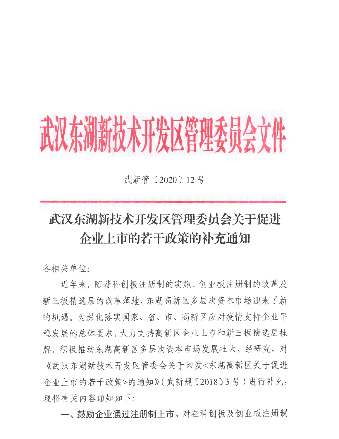## 武汉东湖新技术开发区管理委员会文件

武新管 [ 2020 ] 12 号

## 武汉东湖新技术开发区管理委员会关于促进 企业上市的若干政策的补充通知

各相关单位:

近年来, 随着科创板注册制的实施、创业板注册制的改革及 新三板精选层的改革落地, 东湖高新区多层次资本市场迎来了新 的机遇。为深化落实国家、省、市、高新区应对疫情支持企业平 稳发展的总体要求,大力支持高新区企业上市和新三板精选层挂 牌,积极推动东湖高新区多层次资本市场发展壮大, 经研究, 对 《武汉东湖新技术开发区管委会关于印发<东湖高新区关于促进 企业上市的若干政策>的通知》(武新规〔2018〕3号)进行补充, 现将有关内容通知如下:

一、鼓励企业通过注册制上市。对在科创板及创业板注册制